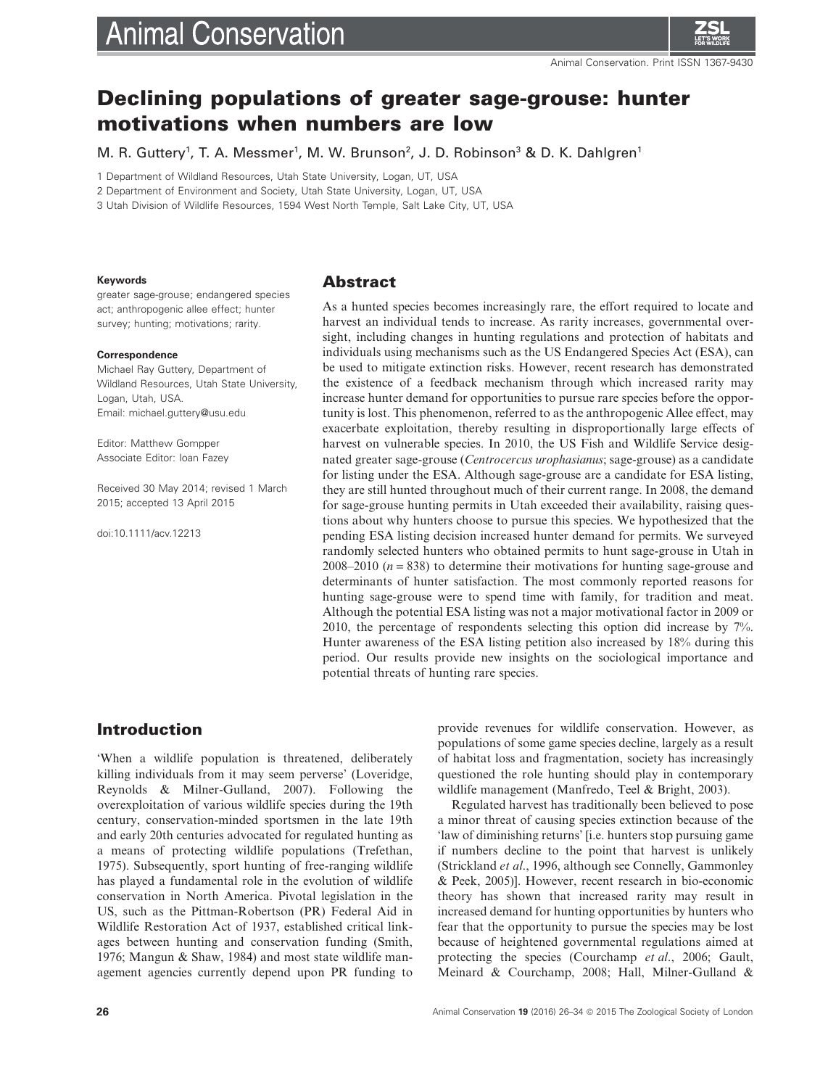# **Animal Conservation**



# **Declining populations of greater sage-grouse: hunter motivations when numbers are low**

M. R. Guttery<sup>1</sup>, T. A. Messmer<sup>1</sup>, M. W. Brunson<sup>2</sup>, J. D. Robinson<sup>3</sup> & D. K. Dahlgren<sup>1</sup>

1 Department of Wildland Resources, Utah State University, Logan, UT, USA

2 Department of Environment and Society, Utah State University, Logan, UT, USA

3 Utah Division of Wildlife Resources, 1594 West North Temple, Salt Lake City, UT, USA

#### **Keywords**

greater sage-grouse; endangered species act; anthropogenic allee effect; hunter survey; hunting; motivations; rarity.

#### **Correspondence**

Michael Ray Guttery, Department of Wildland Resources, Utah State University, Logan, Utah, USA. Email: michael.guttery@usu.edu

Editor: Matthew Gompper Associate Editor: Ioan Fazey

Received 30 May 2014; revised 1 March 2015; accepted 13 April 2015

doi:10.1111/acv.12213

## **Abstract**

As a hunted species becomes increasingly rare, the effort required to locate and harvest an individual tends to increase. As rarity increases, governmental oversight, including changes in hunting regulations and protection of habitats and individuals using mechanisms such as the US Endangered Species Act (ESA), can be used to mitigate extinction risks. However, recent research has demonstrated the existence of a feedback mechanism through which increased rarity may increase hunter demand for opportunities to pursue rare species before the opportunity is lost. This phenomenon, referred to as the anthropogenic Allee effect, may exacerbate exploitation, thereby resulting in disproportionally large effects of harvest on vulnerable species. In 2010, the US Fish and Wildlife Service designated greater sage-grouse (*Centrocercus urophasianus*; sage-grouse) as a candidate for listing under the ESA. Although sage-grouse are a candidate for ESA listing, they are still hunted throughout much of their current range. In 2008, the demand for sage-grouse hunting permits in Utah exceeded their availability, raising questions about why hunters choose to pursue this species. We hypothesized that the pending ESA listing decision increased hunter demand for permits. We surveyed randomly selected hunters who obtained permits to hunt sage-grouse in Utah in 2008–2010 ( $n = 838$ ) to determine their motivations for hunting sage-grouse and determinants of hunter satisfaction. The most commonly reported reasons for hunting sage-grouse were to spend time with family, for tradition and meat. Although the potential ESA listing was not a major motivational factor in 2009 or 2010, the percentage of respondents selecting this option did increase by 7%. Hunter awareness of the ESA listing petition also increased by 18% during this period. Our results provide new insights on the sociological importance and potential threats of hunting rare species.

# **Introduction**

'When a wildlife population is threatened, deliberately killing individuals from it may seem perverse' (Loveridge, Reynolds & Milner-Gulland, 2007). Following the overexploitation of various wildlife species during the 19th century, conservation-minded sportsmen in the late 19th and early 20th centuries advocated for regulated hunting as a means of protecting wildlife populations (Trefethan, 1975). Subsequently, sport hunting of free-ranging wildlife has played a fundamental role in the evolution of wildlife conservation in North America. Pivotal legislation in the US, such as the Pittman-Robertson (PR) Federal Aid in Wildlife Restoration Act of 1937, established critical linkages between hunting and conservation funding (Smith, 1976; Mangun & Shaw, 1984) and most state wildlife management agencies currently depend upon PR funding to provide revenues for wildlife conservation. However, as populations of some game species decline, largely as a result of habitat loss and fragmentation, society has increasingly questioned the role hunting should play in contemporary wildlife management (Manfredo, Teel & Bright, 2003).

Regulated harvest has traditionally been believed to pose a minor threat of causing species extinction because of the 'law of diminishing returns' [i.e. hunters stop pursuing game if numbers decline to the point that harvest is unlikely (Strickland *et al*., 1996, although see Connelly, Gammonley & Peek, 2005)]. However, recent research in bio-economic theory has shown that increased rarity may result in increased demand for hunting opportunities by hunters who fear that the opportunity to pursue the species may be lost because of heightened governmental regulations aimed at protecting the species (Courchamp *et al*., 2006; Gault, Meinard & Courchamp, 2008; Hall, Milner-Gulland &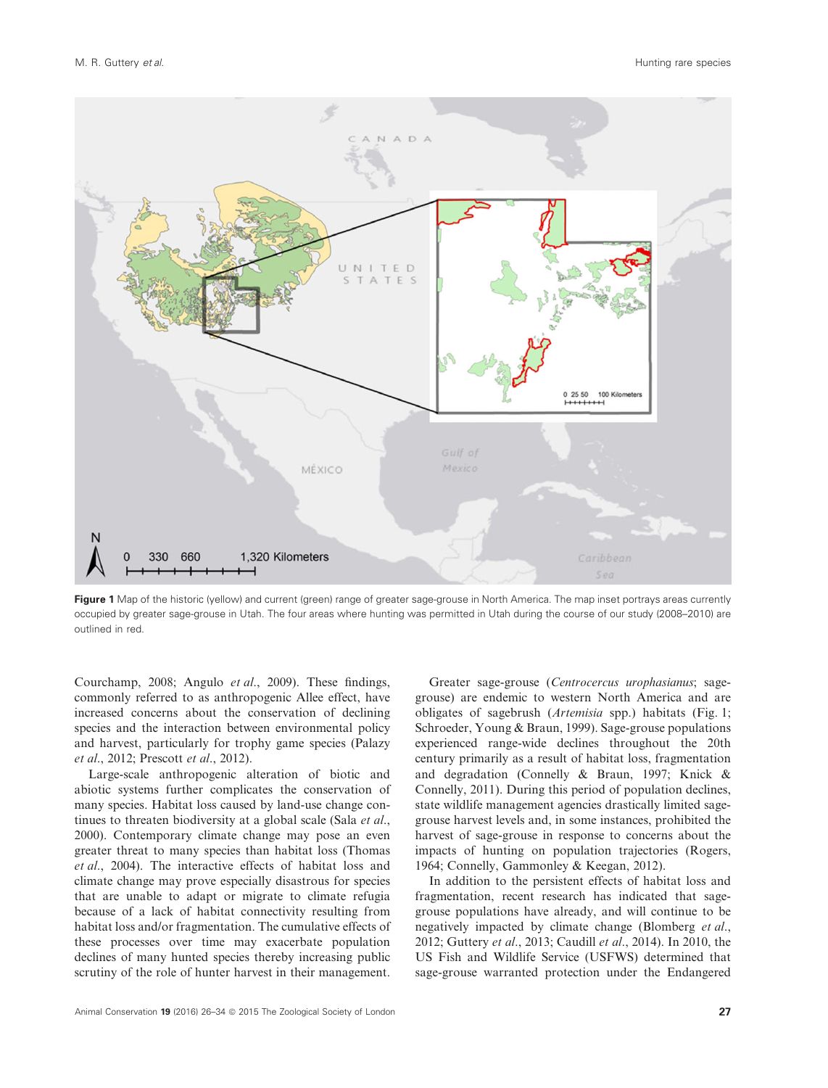

**Figure 1** Map of the historic (yellow) and current (green) range of greater sage-grouse in North America. The map inset portrays areas currently occupied by greater sage-grouse in Utah. The four areas where hunting was permitted in Utah during the course of our study (2008–2010) are outlined in red.

Courchamp, 2008; Angulo *et al*., 2009). These findings, commonly referred to as anthropogenic Allee effect, have increased concerns about the conservation of declining species and the interaction between environmental policy and harvest, particularly for trophy game species (Palazy *et al*., 2012; Prescott *et al*., 2012).

Large-scale anthropogenic alteration of biotic and abiotic systems further complicates the conservation of many species. Habitat loss caused by land-use change continues to threaten biodiversity at a global scale (Sala *et al*., 2000). Contemporary climate change may pose an even greater threat to many species than habitat loss (Thomas *et al*., 2004). The interactive effects of habitat loss and climate change may prove especially disastrous for species that are unable to adapt or migrate to climate refugia because of a lack of habitat connectivity resulting from habitat loss and/or fragmentation. The cumulative effects of these processes over time may exacerbate population declines of many hunted species thereby increasing public scrutiny of the role of hunter harvest in their management.

Greater sage-grouse (*Centrocercus urophasianus*; sagegrouse) are endemic to western North America and are obligates of sagebrush (*Artemisia* spp.) habitats (Fig. 1; Schroeder, Young & Braun, 1999). Sage-grouse populations experienced range-wide declines throughout the 20th century primarily as a result of habitat loss, fragmentation and degradation (Connelly & Braun, 1997; Knick & Connelly, 2011). During this period of population declines, state wildlife management agencies drastically limited sagegrouse harvest levels and, in some instances, prohibited the harvest of sage-grouse in response to concerns about the impacts of hunting on population trajectories (Rogers, 1964; Connelly, Gammonley & Keegan, 2012).

In addition to the persistent effects of habitat loss and fragmentation, recent research has indicated that sagegrouse populations have already, and will continue to be negatively impacted by climate change (Blomberg *et al*., 2012; Guttery *et al*., 2013; Caudill *et al*., 2014). In 2010, the US Fish and Wildlife Service (USFWS) determined that sage-grouse warranted protection under the Endangered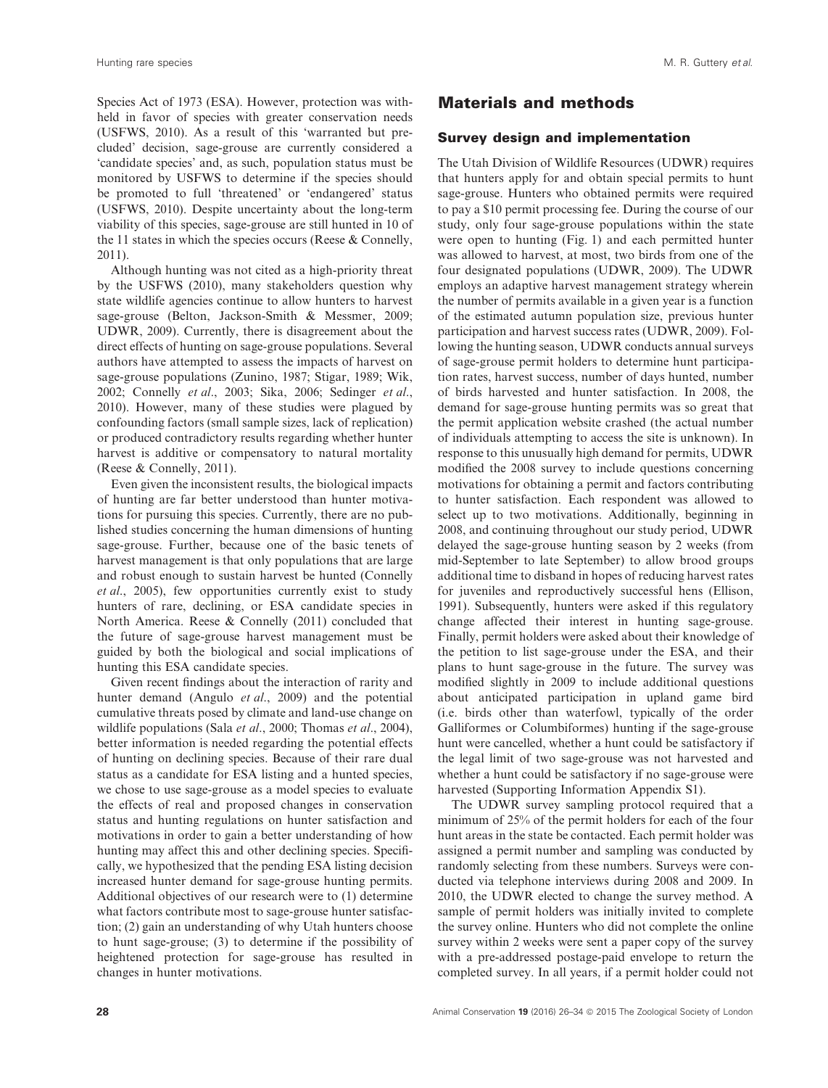Species Act of 1973 (ESA). However, protection was withheld in favor of species with greater conservation needs (USFWS, 2010). As a result of this 'warranted but precluded' decision, sage-grouse are currently considered a 'candidate species' and, as such, population status must be monitored by USFWS to determine if the species should be promoted to full 'threatened' or 'endangered' status (USFWS, 2010). Despite uncertainty about the long-term viability of this species, sage-grouse are still hunted in 10 of the 11 states in which the species occurs (Reese & Connelly, 2011).

Although hunting was not cited as a high-priority threat by the USFWS (2010), many stakeholders question why state wildlife agencies continue to allow hunters to harvest sage-grouse (Belton, Jackson-Smith & Messmer, 2009; UDWR, 2009). Currently, there is disagreement about the direct effects of hunting on sage-grouse populations. Several authors have attempted to assess the impacts of harvest on sage-grouse populations (Zunino, 1987; Stigar, 1989; Wik, 2002; Connelly *et al*., 2003; Sika, 2006; Sedinger *et al*., 2010). However, many of these studies were plagued by confounding factors (small sample sizes, lack of replication) or produced contradictory results regarding whether hunter harvest is additive or compensatory to natural mortality (Reese & Connelly, 2011).

Even given the inconsistent results, the biological impacts of hunting are far better understood than hunter motivations for pursuing this species. Currently, there are no published studies concerning the human dimensions of hunting sage-grouse. Further, because one of the basic tenets of harvest management is that only populations that are large and robust enough to sustain harvest be hunted (Connelly *et al*., 2005), few opportunities currently exist to study hunters of rare, declining, or ESA candidate species in North America. Reese & Connelly (2011) concluded that the future of sage-grouse harvest management must be guided by both the biological and social implications of hunting this ESA candidate species.

Given recent findings about the interaction of rarity and hunter demand (Angulo *et al*., 2009) and the potential cumulative threats posed by climate and land-use change on wildlife populations (Sala *et al*., 2000; Thomas *et al*., 2004), better information is needed regarding the potential effects of hunting on declining species. Because of their rare dual status as a candidate for ESA listing and a hunted species, we chose to use sage-grouse as a model species to evaluate the effects of real and proposed changes in conservation status and hunting regulations on hunter satisfaction and motivations in order to gain a better understanding of how hunting may affect this and other declining species. Specifically, we hypothesized that the pending ESA listing decision increased hunter demand for sage-grouse hunting permits. Additional objectives of our research were to (1) determine what factors contribute most to sage-grouse hunter satisfaction; (2) gain an understanding of why Utah hunters choose to hunt sage-grouse; (3) to determine if the possibility of heightened protection for sage-grouse has resulted in changes in hunter motivations.

# Materials and methods

#### **Survey design and implementation**

The Utah Division of Wildlife Resources (UDWR) requires that hunters apply for and obtain special permits to hunt sage-grouse. Hunters who obtained permits were required to pay a \$10 permit processing fee. During the course of our study, only four sage-grouse populations within the state were open to hunting (Fig. 1) and each permitted hunter was allowed to harvest, at most, two birds from one of the four designated populations (UDWR, 2009). The UDWR employs an adaptive harvest management strategy wherein the number of permits available in a given year is a function of the estimated autumn population size, previous hunter participation and harvest success rates (UDWR, 2009). Following the hunting season, UDWR conducts annual surveys of sage-grouse permit holders to determine hunt participation rates, harvest success, number of days hunted, number of birds harvested and hunter satisfaction. In 2008, the demand for sage-grouse hunting permits was so great that the permit application website crashed (the actual number of individuals attempting to access the site is unknown). In response to this unusually high demand for permits, UDWR modified the 2008 survey to include questions concerning motivations for obtaining a permit and factors contributing to hunter satisfaction. Each respondent was allowed to select up to two motivations. Additionally, beginning in 2008, and continuing throughout our study period, UDWR delayed the sage-grouse hunting season by 2 weeks (from mid-September to late September) to allow brood groups additional time to disband in hopes of reducing harvest rates for juveniles and reproductively successful hens (Ellison, 1991). Subsequently, hunters were asked if this regulatory change affected their interest in hunting sage-grouse. Finally, permit holders were asked about their knowledge of the petition to list sage-grouse under the ESA, and their plans to hunt sage-grouse in the future. The survey was modified slightly in 2009 to include additional questions about anticipated participation in upland game bird (i.e. birds other than waterfowl, typically of the order Galliformes or Columbiformes) hunting if the sage-grouse hunt were cancelled, whether a hunt could be satisfactory if the legal limit of two sage-grouse was not harvested and whether a hunt could be satisfactory if no sage-grouse were harvested (Supporting Information Appendix S1).

The UDWR survey sampling protocol required that a minimum of 25% of the permit holders for each of the four hunt areas in the state be contacted. Each permit holder was assigned a permit number and sampling was conducted by randomly selecting from these numbers. Surveys were conducted via telephone interviews during 2008 and 2009. In 2010, the UDWR elected to change the survey method. A sample of permit holders was initially invited to complete the survey online. Hunters who did not complete the online survey within 2 weeks were sent a paper copy of the survey with a pre-addressed postage-paid envelope to return the completed survey. In all years, if a permit holder could not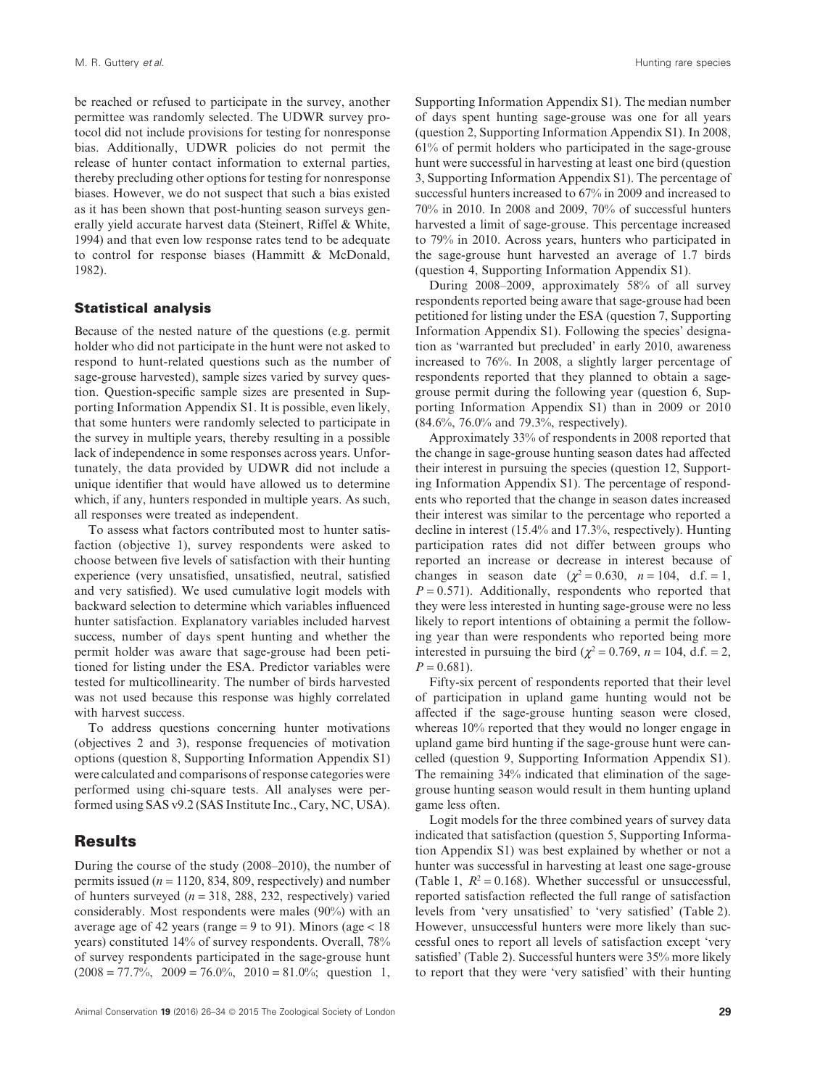be reached or refused to participate in the survey, another permittee was randomly selected. The UDWR survey protocol did not include provisions for testing for nonresponse bias. Additionally, UDWR policies do not permit the release of hunter contact information to external parties, thereby precluding other options for testing for nonresponse biases. However, we do not suspect that such a bias existed as it has been shown that post-hunting season surveys generally yield accurate harvest data (Steinert, Riffel & White, 1994) and that even low response rates tend to be adequate to control for response biases (Hammitt & McDonald, 1982).

#### **Statistical analysis**

Because of the nested nature of the questions (e.g. permit holder who did not participate in the hunt were not asked to respond to hunt-related questions such as the number of sage-grouse harvested), sample sizes varied by survey question. Question-specific sample sizes are presented in Supporting Information Appendix S1. It is possible, even likely, that some hunters were randomly selected to participate in the survey in multiple years, thereby resulting in a possible lack of independence in some responses across years. Unfortunately, the data provided by UDWR did not include a unique identifier that would have allowed us to determine which, if any, hunters responded in multiple years. As such, all responses were treated as independent.

To assess what factors contributed most to hunter satisfaction (objective 1), survey respondents were asked to choose between five levels of satisfaction with their hunting experience (very unsatisfied, unsatisfied, neutral, satisfied and very satisfied). We used cumulative logit models with backward selection to determine which variables influenced hunter satisfaction. Explanatory variables included harvest success, number of days spent hunting and whether the permit holder was aware that sage-grouse had been petitioned for listing under the ESA. Predictor variables were tested for multicollinearity. The number of birds harvested was not used because this response was highly correlated with harvest success.

To address questions concerning hunter motivations (objectives 2 and 3), response frequencies of motivation options (question 8, Supporting Information Appendix S1) were calculated and comparisons of response categories were performed using chi-square tests. All analyses were performed using SAS v9.2 (SAS Institute Inc., Cary, NC, USA).

### **Results**

During the course of the study (2008–2010), the number of permits issued  $(n = 1120, 834, 809,$  respectively) and number of hunters surveyed  $(n = 318, 288, 232,$  respectively) varied considerably. Most respondents were males (90%) with an average age of 42 years (range = 9 to 91). Minors (age  $< 18$ ) years) constituted 14% of survey respondents. Overall, 78% of survey respondents participated in the sage-grouse hunt  $(2008 = 77.7\%, 2009 = 76.0\%, 2010 = 81.0\%;$  question 1,

Supporting Information Appendix S1). The median number of days spent hunting sage-grouse was one for all years (question 2, Supporting Information Appendix S1). In 2008, 61% of permit holders who participated in the sage-grouse hunt were successful in harvesting at least one bird (question 3, Supporting Information Appendix S1). The percentage of successful hunters increased to 67% in 2009 and increased to 70% in 2010. In 2008 and 2009, 70% of successful hunters harvested a limit of sage-grouse. This percentage increased to 79% in 2010. Across years, hunters who participated in the sage-grouse hunt harvested an average of 1.7 birds (question 4, Supporting Information Appendix S1).

During 2008–2009, approximately 58% of all survey respondents reported being aware that sage-grouse had been petitioned for listing under the ESA (question 7, Supporting Information Appendix S1). Following the species' designation as 'warranted but precluded' in early 2010, awareness increased to 76%. In 2008, a slightly larger percentage of respondents reported that they planned to obtain a sagegrouse permit during the following year (question 6, Supporting Information Appendix S1) than in 2009 or 2010 (84.6%, 76.0% and 79.3%, respectively).

Approximately 33% of respondents in 2008 reported that the change in sage-grouse hunting season dates had affected their interest in pursuing the species (question 12, Supporting Information Appendix S1). The percentage of respondents who reported that the change in season dates increased their interest was similar to the percentage who reported a decline in interest (15.4% and 17.3%, respectively). Hunting participation rates did not differ between groups who reported an increase or decrease in interest because of changes in season date ( $\chi^2 = 0.630$ ,  $n = 104$ , d.f. = 1,  $P = 0.571$ . Additionally, respondents who reported that they were less interested in hunting sage-grouse were no less likely to report intentions of obtaining a permit the following year than were respondents who reported being more interested in pursuing the bird ( $\chi^2 = 0.769$ ,  $n = 104$ , d.f. = 2,  $P = 0.681$ .

Fifty-six percent of respondents reported that their level of participation in upland game hunting would not be affected if the sage-grouse hunting season were closed, whereas 10% reported that they would no longer engage in upland game bird hunting if the sage-grouse hunt were cancelled (question 9, Supporting Information Appendix S1). The remaining 34% indicated that elimination of the sagegrouse hunting season would result in them hunting upland game less often.

Logit models for the three combined years of survey data indicated that satisfaction (question 5, Supporting Information Appendix S1) was best explained by whether or not a hunter was successful in harvesting at least one sage-grouse (Table 1,  $R^2 = 0.168$ ). Whether successful or unsuccessful, reported satisfaction reflected the full range of satisfaction levels from 'very unsatisfied' to 'very satisfied' (Table 2). However, unsuccessful hunters were more likely than successful ones to report all levels of satisfaction except 'very satisfied' (Table 2). Successful hunters were 35% more likely to report that they were 'very satisfied' with their hunting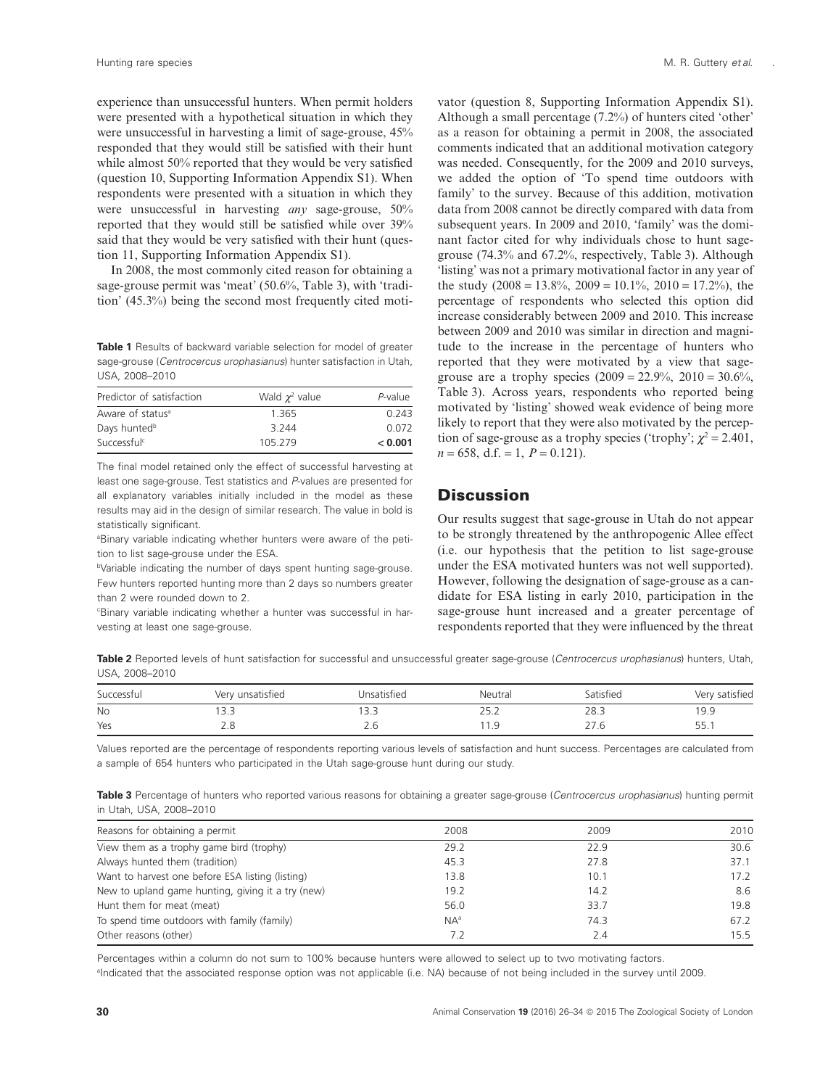experience than unsuccessful hunters. When permit holders were presented with a hypothetical situation in which they were unsuccessful in harvesting a limit of sage-grouse, 45% responded that they would still be satisfied with their hunt while almost 50% reported that they would be very satisfied (question 10, Supporting Information Appendix S1). When respondents were presented with a situation in which they were unsuccessful in harvesting *any* sage-grouse, 50% reported that they would still be satisfied while over 39% said that they would be very satisfied with their hunt (question 11, Supporting Information Appendix S1).

In 2008, the most commonly cited reason for obtaining a sage-grouse permit was 'meat' (50.6%, Table 3), with 'tradition' (45.3%) being the second most frequently cited moti-

**Table 1** Results of backward variable selection for model of greater sage-grouse (*Centrocercus urophasianus*) hunter satisfaction in Utah, USA, 2008–2010

| Predictor of satisfaction    | Wald $\chi^2$ value | P-value |
|------------------------------|---------------------|---------|
| Aware of status <sup>a</sup> | 1.365               | 0.243   |
| Days hunted <sup>b</sup>     | 3 2 4 4             | 0.072   |
| Successful <sup>c</sup>      | 105.279             | < 0.001 |

The final model retained only the effect of successful harvesting at least one sage-grouse. Test statistics and *P*-values are presented for all explanatory variables initially included in the model as these results may aid in the design of similar research. The value in bold is statistically significant.

<sup>a</sup>Binary variable indicating whether hunters were aware of the petition to list sage-grouse under the ESA.

bVariable indicating the number of days spent hunting sage-grouse. Few hunters reported hunting more than 2 days so numbers greater than 2 were rounded down to 2.

c Binary variable indicating whether a hunter was successful in harvesting at least one sage-grouse.

.

vator (question 8, Supporting Information Appendix S1). Although a small percentage (7.2%) of hunters cited 'other' as a reason for obtaining a permit in 2008, the associated comments indicated that an additional motivation category was needed. Consequently, for the 2009 and 2010 surveys, we added the option of 'To spend time outdoors with family' to the survey. Because of this addition, motivation data from 2008 cannot be directly compared with data from subsequent years. In 2009 and 2010, 'family' was the dominant factor cited for why individuals chose to hunt sagegrouse (74.3% and 67.2%, respectively, Table 3). Although 'listing' was not a primary motivational factor in any year of the study  $(2008 = 13.8\%, 2009 = 10.1\%, 2010 = 17.2\%),$  the percentage of respondents who selected this option did increase considerably between 2009 and 2010. This increase between 2009 and 2010 was similar in direction and magnitude to the increase in the percentage of hunters who reported that they were motivated by a view that sagegrouse are a trophy species  $(2009 = 22.9\%, 2010 = 30.6\%,$ Table 3). Across years, respondents who reported being motivated by 'listing' showed weak evidence of being more likely to report that they were also motivated by the perception of sage-grouse as a trophy species ('trophy';  $\chi^2 = 2.401$ ,  $n = 658$ , d.f. = 1,  $P = 0.121$ .

# **Discussion**

Our results suggest that sage-grouse in Utah do not appear to be strongly threatened by the anthropogenic Allee effect (i.e. our hypothesis that the petition to list sage-grouse under the ESA motivated hunters was not well supported). However, following the designation of sage-grouse as a candidate for ESA listing in early 2010, participation in the sage-grouse hunt increased and a greater percentage of respondents reported that they were influenced by the threat

**Table 2** Reported levels of hunt satisfaction for successful and unsuccessful greater sage-grouse (*Centrocercus urophasianus*) hunters, Utah, USA, 2008–2010

| Successful | Very unsatisfied | Jnsatisfied   | Neutral | Satisfied | Very satisfied |
|------------|------------------|---------------|---------|-----------|----------------|
| <b>No</b>  | <u>.</u>         | $\bigcap$<br> | ے . د   | 28.3      | 19.9           |
| Yes        | ے . ب            | $\sim$        | .       | 21.0      | 55.1           |

Values reported are the percentage of respondents reporting various levels of satisfaction and hunt success. Percentages are calculated from a sample of 654 hunters who participated in the Utah sage-grouse hunt during our study.

**Table 3** Percentage of hunters who reported various reasons for obtaining a greater sage-grouse (*Centrocercus urophasianus*) hunting permit in Utah, USA, 2008–2010

| Reasons for obtaining a permit                    | 2008   | 2009 | 2010 |
|---------------------------------------------------|--------|------|------|
| View them as a trophy game bird (trophy)          | 29.2   | 22.9 | 30.6 |
| Always hunted them (tradition)                    | 45.3   | 27.8 | 37.1 |
| Want to harvest one before ESA listing (listing)  | 13.8   | 10.1 | 17.2 |
| New to upland game hunting, giving it a try (new) | 19.2   | 14.2 | 8.6  |
| Hunt them for meat (meat)                         | 56.0   | 33.7 | 19.8 |
| To spend time outdoors with family (family)       | $NA^a$ | 74.3 | 67.2 |
| Other reasons (other)                             | 7.2    | 2.4  | 15.5 |

Percentages within a column do not sum to 100% because hunters were allowed to select up to two motivating factors.

a Indicated that the associated response option was not applicable (i.e. NA) because of not being included in the survey until 2009.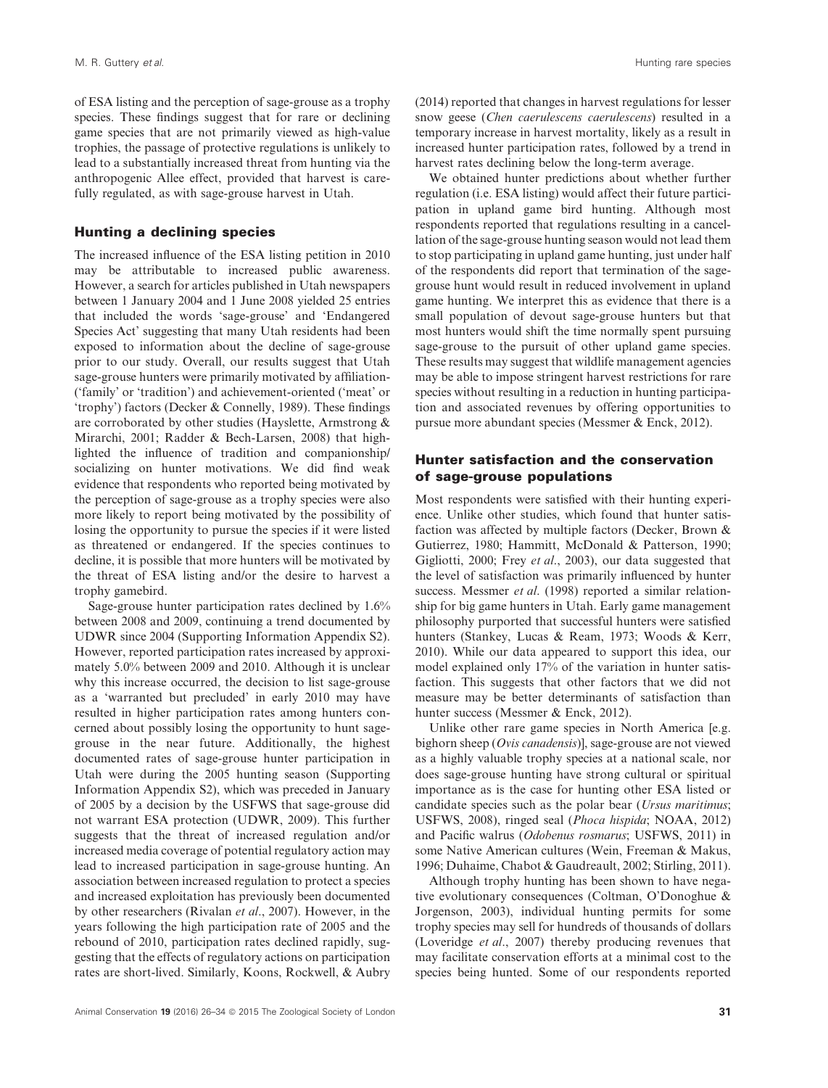of ESA listing and the perception of sage-grouse as a trophy species. These findings suggest that for rare or declining game species that are not primarily viewed as high-value trophies, the passage of protective regulations is unlikely to lead to a substantially increased threat from hunting via the anthropogenic Allee effect, provided that harvest is carefully regulated, as with sage-grouse harvest in Utah.

#### **Hunting a declining species**

The increased influence of the ESA listing petition in 2010 may be attributable to increased public awareness. However, a search for articles published in Utah newspapers between 1 January 2004 and 1 June 2008 yielded 25 entries that included the words 'sage-grouse' and 'Endangered Species Act' suggesting that many Utah residents had been exposed to information about the decline of sage-grouse prior to our study. Overall, our results suggest that Utah sage-grouse hunters were primarily motivated by affiliation- ('family' or 'tradition') and achievement-oriented ('meat' or 'trophy') factors (Decker & Connelly, 1989). These findings are corroborated by other studies (Hayslette, Armstrong & Mirarchi, 2001; Radder & Bech-Larsen, 2008) that highlighted the influence of tradition and companionship/ socializing on hunter motivations. We did find weak evidence that respondents who reported being motivated by the perception of sage-grouse as a trophy species were also more likely to report being motivated by the possibility of losing the opportunity to pursue the species if it were listed as threatened or endangered. If the species continues to decline, it is possible that more hunters will be motivated by the threat of ESA listing and/or the desire to harvest a trophy gamebird.

Sage-grouse hunter participation rates declined by 1.6% between 2008 and 2009, continuing a trend documented by UDWR since 2004 (Supporting Information Appendix S2). However, reported participation rates increased by approximately 5.0% between 2009 and 2010. Although it is unclear why this increase occurred, the decision to list sage-grouse as a 'warranted but precluded' in early 2010 may have resulted in higher participation rates among hunters concerned about possibly losing the opportunity to hunt sagegrouse in the near future. Additionally, the highest documented rates of sage-grouse hunter participation in Utah were during the 2005 hunting season (Supporting Information Appendix S2), which was preceded in January of 2005 by a decision by the USFWS that sage-grouse did not warrant ESA protection (UDWR, 2009). This further suggests that the threat of increased regulation and/or increased media coverage of potential regulatory action may lead to increased participation in sage-grouse hunting. An association between increased regulation to protect a species and increased exploitation has previously been documented by other researchers (Rivalan *et al*., 2007). However, in the years following the high participation rate of 2005 and the rebound of 2010, participation rates declined rapidly, suggesting that the effects of regulatory actions on participation rates are short-lived. Similarly, Koons, Rockwell, & Aubry

(2014) reported that changes in harvest regulations for lesser snow geese (*Chen caerulescens caerulescens*) resulted in a temporary increase in harvest mortality, likely as a result in increased hunter participation rates, followed by a trend in harvest rates declining below the long-term average.

We obtained hunter predictions about whether further regulation (i.e. ESA listing) would affect their future participation in upland game bird hunting. Although most respondents reported that regulations resulting in a cancellation of the sage-grouse hunting season would not lead them to stop participating in upland game hunting, just under half of the respondents did report that termination of the sagegrouse hunt would result in reduced involvement in upland game hunting. We interpret this as evidence that there is a small population of devout sage-grouse hunters but that most hunters would shift the time normally spent pursuing sage-grouse to the pursuit of other upland game species. These results may suggest that wildlife management agencies may be able to impose stringent harvest restrictions for rare species without resulting in a reduction in hunting participation and associated revenues by offering opportunities to pursue more abundant species (Messmer & Enck, 2012).

#### **Hunter satisfaction and the conservation of sage-grouse populations**

Most respondents were satisfied with their hunting experience. Unlike other studies, which found that hunter satisfaction was affected by multiple factors (Decker, Brown & Gutierrez, 1980; Hammitt, McDonald & Patterson, 1990; Gigliotti, 2000; Frey *et al*., 2003), our data suggested that the level of satisfaction was primarily influenced by hunter success. Messmer *et al*. (1998) reported a similar relationship for big game hunters in Utah. Early game management philosophy purported that successful hunters were satisfied hunters (Stankey, Lucas & Ream, 1973; Woods & Kerr, 2010). While our data appeared to support this idea, our model explained only 17% of the variation in hunter satisfaction. This suggests that other factors that we did not measure may be better determinants of satisfaction than hunter success (Messmer & Enck, 2012).

Unlike other rare game species in North America [e.g. bighorn sheep (*Ovis canadensis*)], sage-grouse are not viewed as a highly valuable trophy species at a national scale, nor does sage-grouse hunting have strong cultural or spiritual importance as is the case for hunting other ESA listed or candidate species such as the polar bear (*Ursus maritimus*; USFWS, 2008), ringed seal (*Phoca hispida*; NOAA, 2012) and Pacific walrus (*Odobenus rosmarus*; USFWS, 2011) in some Native American cultures (Wein, Freeman & Makus, 1996; Duhaime, Chabot & Gaudreault, 2002; Stirling, 2011).

Although trophy hunting has been shown to have negative evolutionary consequences (Coltman, O'Donoghue & Jorgenson, 2003), individual hunting permits for some trophy species may sell for hundreds of thousands of dollars (Loveridge *et al*., 2007) thereby producing revenues that may facilitate conservation efforts at a minimal cost to the species being hunted. Some of our respondents reported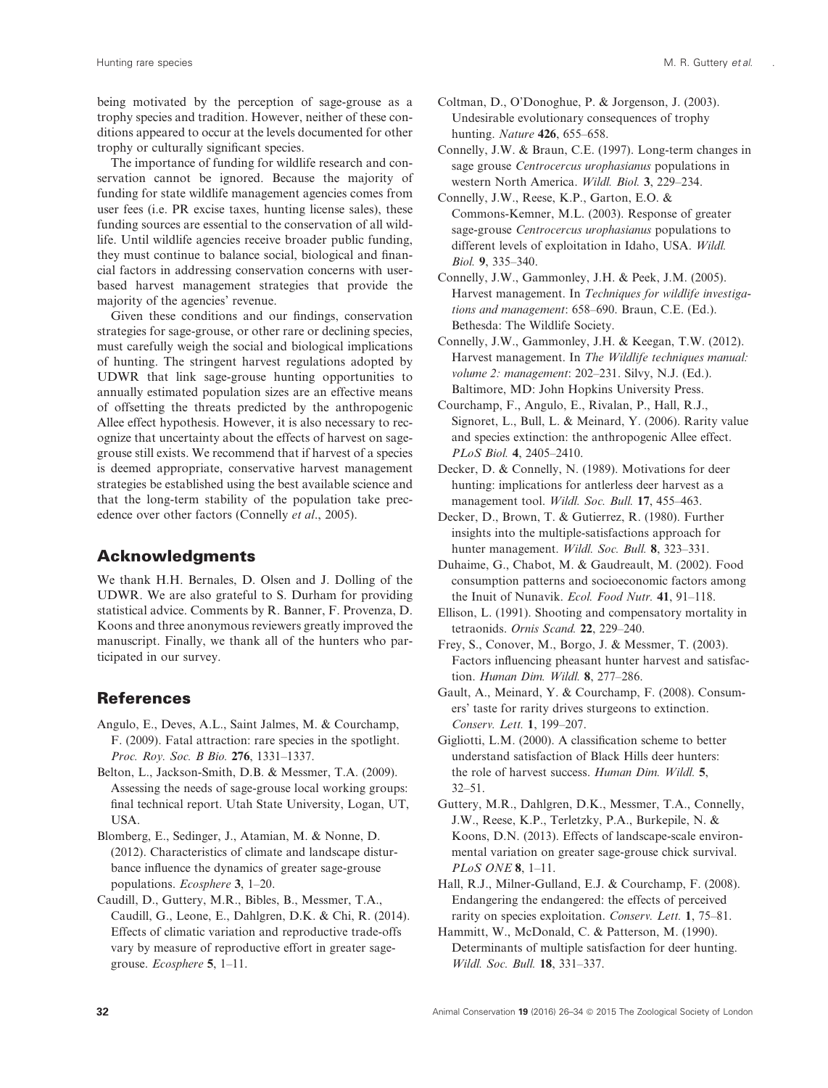.

being motivated by the perception of sage-grouse as a trophy species and tradition. However, neither of these conditions appeared to occur at the levels documented for other trophy or culturally significant species.

The importance of funding for wildlife research and conservation cannot be ignored. Because the majority of funding for state wildlife management agencies comes from user fees (i.e. PR excise taxes, hunting license sales), these funding sources are essential to the conservation of all wildlife. Until wildlife agencies receive broader public funding, they must continue to balance social, biological and financial factors in addressing conservation concerns with userbased harvest management strategies that provide the majority of the agencies' revenue.

Given these conditions and our findings, conservation strategies for sage-grouse, or other rare or declining species, must carefully weigh the social and biological implications of hunting. The stringent harvest regulations adopted by UDWR that link sage-grouse hunting opportunities to annually estimated population sizes are an effective means of offsetting the threats predicted by the anthropogenic Allee effect hypothesis. However, it is also necessary to recognize that uncertainty about the effects of harvest on sagegrouse still exists. We recommend that if harvest of a species is deemed appropriate, conservative harvest management strategies be established using the best available science and that the long-term stability of the population take precedence over other factors (Connelly *et al*., 2005).

# **Acknowledgments**

We thank H.H. Bernales, D. Olsen and J. Dolling of the UDWR. We are also grateful to S. Durham for providing statistical advice. Comments by R. Banner, F. Provenza, D. Koons and three anonymous reviewers greatly improved the manuscript. Finally, we thank all of the hunters who participated in our survey.

# **References**

- Angulo, E., Deves, A.L., Saint Jalmes, M. & Courchamp, F. (2009). Fatal attraction: rare species in the spotlight. *Proc. Roy. Soc. B Bio.* **276**, 1331–1337.
- Belton, L., Jackson-Smith, D.B. & Messmer, T.A. (2009). Assessing the needs of sage-grouse local working groups: final technical report. Utah State University, Logan, UT, USA.
- Blomberg, E., Sedinger, J., Atamian, M. & Nonne, D. (2012). Characteristics of climate and landscape disturbance influence the dynamics of greater sage-grouse populations. *Ecosphere* **3**, 1–20.
- Caudill, D., Guttery, M.R., Bibles, B., Messmer, T.A., Caudill, G., Leone, E., Dahlgren, D.K. & Chi, R. (2014). Effects of climatic variation and reproductive trade-offs vary by measure of reproductive effort in greater sagegrouse. *Ecosphere* **5**, 1–11.
- Coltman, D., O'Donoghue, P. & Jorgenson, J. (2003). Undesirable evolutionary consequences of trophy hunting. *Nature* **426**, 655–658.
- Connelly, J.W. & Braun, C.E. (1997). Long-term changes in sage grouse *Centrocercus urophasianus* populations in western North America. *Wildl. Biol.* **3**, 229–234.
- Connelly, J.W., Reese, K.P., Garton, E.O. & Commons-Kemner, M.L. (2003). Response of greater sage-grouse *Centrocercus urophasianus* populations to different levels of exploitation in Idaho, USA. *Wildl. Biol.* **9**, 335–340.
- Connelly, J.W., Gammonley, J.H. & Peek, J.M. (2005). Harvest management. In *Techniques for wildlife investigations and management*: 658–690. Braun, C.E. (Ed.). Bethesda: The Wildlife Society.
- Connelly, J.W., Gammonley, J.H. & Keegan, T.W. (2012). Harvest management. In *The Wildlife techniques manual: volume 2: management*: 202–231. Silvy, N.J. (Ed.). Baltimore, MD: John Hopkins University Press.
- Courchamp, F., Angulo, E., Rivalan, P., Hall, R.J., Signoret, L., Bull, L. & Meinard, Y. (2006). Rarity value and species extinction: the anthropogenic Allee effect. *PLoS Biol.* **4**, 2405–2410.
- Decker, D. & Connelly, N. (1989). Motivations for deer hunting: implications for antlerless deer harvest as a management tool. *Wildl. Soc. Bull.* **17**, 455–463.
- Decker, D., Brown, T. & Gutierrez, R. (1980). Further insights into the multiple-satisfactions approach for hunter management. *Wildl. Soc. Bull.* **8**, 323–331.
- Duhaime, G., Chabot, M. & Gaudreault, M. (2002). Food consumption patterns and socioeconomic factors among the Inuit of Nunavik. *Ecol. Food Nutr.* **41**, 91–118.
- Ellison, L. (1991). Shooting and compensatory mortality in tetraonids. *Ornis Scand.* **22**, 229–240.
- Frey, S., Conover, M., Borgo, J. & Messmer, T. (2003). Factors influencing pheasant hunter harvest and satisfaction. *Human Dim. Wildl.* **8**, 277–286.
- Gault, A., Meinard, Y. & Courchamp, F. (2008). Consumers' taste for rarity drives sturgeons to extinction. *Conserv. Lett.* **1**, 199–207.
- Gigliotti, L.M. (2000). A classification scheme to better understand satisfaction of Black Hills deer hunters: the role of harvest success. *Human Dim. Wildl.* **5**, 32–51.
- Guttery, M.R., Dahlgren, D.K., Messmer, T.A., Connelly, J.W., Reese, K.P., Terletzky, P.A., Burkepile, N. & Koons, D.N. (2013). Effects of landscape-scale environmental variation on greater sage-grouse chick survival. *PLoS ONE* **8**, 1–11.
- Hall, R.J., Milner-Gulland, E.J. & Courchamp, F. (2008). Endangering the endangered: the effects of perceived rarity on species exploitation. *Conserv. Lett.* **1**, 75–81.
- Hammitt, W., McDonald, C. & Patterson, M. (1990). Determinants of multiple satisfaction for deer hunting. *Wildl. Soc. Bull.* **18**, 331–337.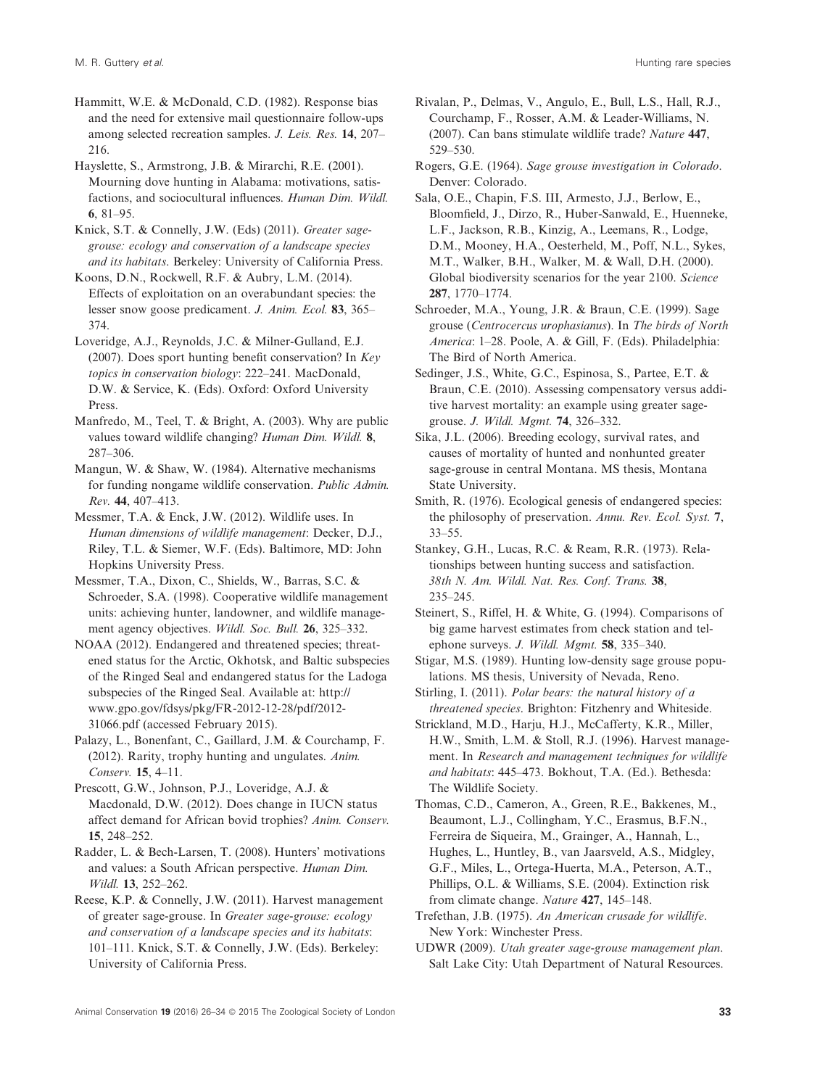Hammitt, W.E. & McDonald, C.D. (1982). Response bias and the need for extensive mail questionnaire follow-ups among selected recreation samples. *J. Leis. Res.* **14**, 207– 216.

Hayslette, S., Armstrong, J.B. & Mirarchi, R.E. (2001). Mourning dove hunting in Alabama: motivations, satisfactions, and sociocultural influences. *Human Dim. Wildl.* **6**, 81–95.

Knick, S.T. & Connelly, J.W. (Eds) (2011). *Greater sagegrouse: ecology and conservation of a landscape species and its habitats*. Berkeley: University of California Press.

Koons, D.N., Rockwell, R.F. & Aubry, L.M. (2014). Effects of exploitation on an overabundant species: the lesser snow goose predicament. *J. Anim. Ecol.* **83**, 365– 374.

Loveridge, A.J., Reynolds, J.C. & Milner-Gulland, E.J. (2007). Does sport hunting benefit conservation? In *Key topics in conservation biology*: 222–241. MacDonald, D.W. & Service, K. (Eds). Oxford: Oxford University Press.

Manfredo, M., Teel, T. & Bright, A. (2003). Why are public values toward wildlife changing? *Human Dim. Wildl.* **8**, 287–306.

Mangun, W. & Shaw, W. (1984). Alternative mechanisms for funding nongame wildlife conservation. *Public Admin. Rev.* **44**, 407–413.

Messmer, T.A. & Enck, J.W. (2012). Wildlife uses. In *Human dimensions of wildlife management*: Decker, D.J., Riley, T.L. & Siemer, W.F. (Eds). Baltimore, MD: John Hopkins University Press.

Messmer, T.A., Dixon, C., Shields, W., Barras, S.C. & Schroeder, S.A. (1998). Cooperative wildlife management units: achieving hunter, landowner, and wildlife management agency objectives. *Wildl. Soc. Bull.* **26**, 325–332.

NOAA (2012). Endangered and threatened species; threatened status for the Arctic, Okhotsk, and Baltic subspecies of the Ringed Seal and endangered status for the Ladoga subspecies of the Ringed Seal. Available at: http:// www.gpo.gov/fdsys/pkg/FR-2012-12-28/pdf/2012- 31066.pdf (accessed February 2015).

Palazy, L., Bonenfant, C., Gaillard, J.M. & Courchamp, F. (2012). Rarity, trophy hunting and ungulates. *Anim. Conserv.* **15**, 4–11.

Prescott, G.W., Johnson, P.J., Loveridge, A.J. & Macdonald, D.W. (2012). Does change in IUCN status affect demand for African bovid trophies? *Anim. Conserv.* **15**, 248–252.

Radder, L. & Bech-Larsen, T. (2008). Hunters' motivations and values: a South African perspective. *Human Dim. Wildl.* **13**, 252–262.

Reese, K.P. & Connelly, J.W. (2011). Harvest management of greater sage-grouse. In *Greater sage-grouse: ecology and conservation of a landscape species and its habitats*: 101–111. Knick, S.T. & Connelly, J.W. (Eds). Berkeley: University of California Press.

Rivalan, P., Delmas, V., Angulo, E., Bull, L.S., Hall, R.J., Courchamp, F., Rosser, A.M. & Leader-Williams, N. (2007). Can bans stimulate wildlife trade? *Nature* **447**, 529–530.

Rogers, G.E. (1964). *Sage grouse investigation in Colorado*. Denver: Colorado.

Sala, O.E., Chapin, F.S. III, Armesto, J.J., Berlow, E., Bloomfield, J., Dirzo, R., Huber-Sanwald, E., Huenneke, L.F., Jackson, R.B., Kinzig, A., Leemans, R., Lodge, D.M., Mooney, H.A., Oesterheld, M., Poff, N.L., Sykes, M.T., Walker, B.H., Walker, M. & Wall, D.H. (2000). Global biodiversity scenarios for the year 2100. *Science* **287**, 1770–1774.

Schroeder, M.A., Young, J.R. & Braun, C.E. (1999). Sage grouse (*Centrocercus urophasianus*). In *The birds of North America*: 1–28. Poole, A. & Gill, F. (Eds). Philadelphia: The Bird of North America.

Sedinger, J.S., White, G.C., Espinosa, S., Partee, E.T. & Braun, C.E. (2010). Assessing compensatory versus additive harvest mortality: an example using greater sagegrouse. *J. Wildl. Mgmt.* **74**, 326–332.

Sika, J.L. (2006). Breeding ecology, survival rates, and causes of mortality of hunted and nonhunted greater sage-grouse in central Montana. MS thesis, Montana State University.

Smith, R. (1976). Ecological genesis of endangered species: the philosophy of preservation. *Annu. Rev. Ecol. Syst.* **7**, 33–55.

Stankey, G.H., Lucas, R.C. & Ream, R.R. (1973). Relationships between hunting success and satisfaction. *38th N. Am. Wildl. Nat. Res. Conf. Trans.* **38**, 235–245.

Steinert, S., Riffel, H. & White, G. (1994). Comparisons of big game harvest estimates from check station and telephone surveys. *J. Wildl. Mgmt.* **58**, 335–340.

Stigar, M.S. (1989). Hunting low-density sage grouse populations. MS thesis, University of Nevada, Reno.

Stirling, I. (2011). *Polar bears: the natural history of a threatened species*. Brighton: Fitzhenry and Whiteside.

Strickland, M.D., Harju, H.J., McCafferty, K.R., Miller, H.W., Smith, L.M. & Stoll, R.J. (1996). Harvest management. In *Research and management techniques for wildlife and habitats*: 445–473. Bokhout, T.A. (Ed.). Bethesda: The Wildlife Society.

Thomas, C.D., Cameron, A., Green, R.E., Bakkenes, M., Beaumont, L.J., Collingham, Y.C., Erasmus, B.F.N., Ferreira de Siqueira, M., Grainger, A., Hannah, L., Hughes, L., Huntley, B., van Jaarsveld, A.S., Midgley, G.F., Miles, L., Ortega-Huerta, M.A., Peterson, A.T., Phillips, O.L. & Williams, S.E. (2004). Extinction risk from climate change. *Nature* **427**, 145–148.

Trefethan, J.B. (1975). *An American crusade for wildlife*. New York: Winchester Press.

UDWR (2009). *Utah greater sage-grouse management plan*. Salt Lake City: Utah Department of Natural Resources.